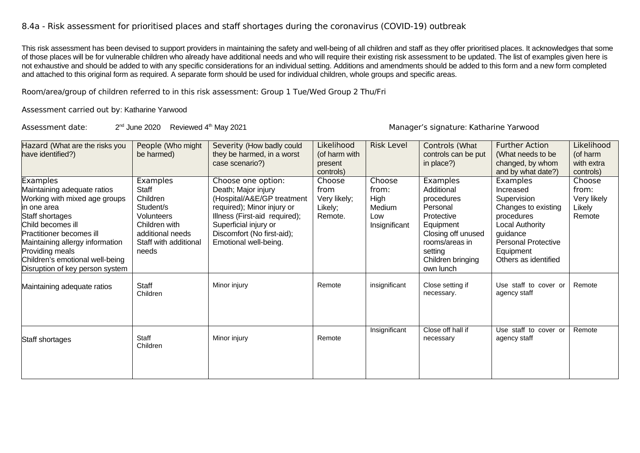## 8.4a - Risk assessment for prioritised places and staff shortages during the coronavirus (COVID-19) outbreak

This risk assessment has been devised to support providers in maintaining the safety and well-being of all children and staff as they offer prioritised places. It acknowledges that some of those places will be for vulnerable children who already have additional needs and who will require their existing risk assessment to be updated. The list of examples given here is not exhaustive and should be added to with any specific considerations for an individual setting. Additions and amendments should be added to this form and a new form completed and attached to this original form as required. A separate form should be used for individual children, whole groups and specific areas.

Room/area/group of children referred to in this risk assessment: Group 1 Tue/Wed Group 2 Thu/Fri

Assessment carried out by: Katharine Yarwood

Assessment date: 2<sup>nd</sup> June 2020 Reviewed 4<sup>th</sup> May 2021

Manager's signature: Katharine Yarwood

| Hazard (What are the risks you<br>have identified?)                                                                                                                                                                                                                                             | People (Who might<br>be harmed)                                                                                                 | Severity (How badly could<br>they be harmed, in a worst<br>case scenario?)                                                                                                                                             | Likelihood<br>(of harm with                          | <b>Risk Level</b>                                         | Controls (What<br>controls can be put<br>in place?)                                                                                                              | <b>Further Action</b><br>(What needs to be<br>changed, by whom                                                                                                              | Likelihood<br>(of harm<br>with extra               |
|-------------------------------------------------------------------------------------------------------------------------------------------------------------------------------------------------------------------------------------------------------------------------------------------------|---------------------------------------------------------------------------------------------------------------------------------|------------------------------------------------------------------------------------------------------------------------------------------------------------------------------------------------------------------------|------------------------------------------------------|-----------------------------------------------------------|------------------------------------------------------------------------------------------------------------------------------------------------------------------|-----------------------------------------------------------------------------------------------------------------------------------------------------------------------------|----------------------------------------------------|
|                                                                                                                                                                                                                                                                                                 |                                                                                                                                 |                                                                                                                                                                                                                        | present<br>controls)                                 |                                                           |                                                                                                                                                                  | and by what date?)                                                                                                                                                          | controls)                                          |
| <b>Examples</b><br>Maintaining adequate ratios<br>Working with mixed age groups<br>lin one area<br>Staff shortages<br>Child becomes ill<br>Practitioner becomes ill<br>Maintaining allergy information<br>Providing meals<br>Children's emotional well-being<br>Disruption of key person system | Examples<br>Staff<br>Children<br>Student/s<br>Volunteers<br>Children with<br>additional needs<br>Staff with additional<br>needs | Choose one option:<br>Death; Major injury<br>(Hospital/A&E/GP treatment<br>required); Minor injury or<br>Illness (First-aid required);<br>Superficial injury or<br>Discomfort (No first-aid);<br>Emotional well-being. | Choose<br>from<br>Very likely;<br>Likely;<br>Remote. | Choose<br>from:<br>High<br>Medium<br>Low<br>Insignificant | Examples<br>Additional<br>procedures<br>Personal<br>Protective<br>Equipment<br>Closing off unused<br>rooms/areas in<br>setting<br>Children bringing<br>own lunch | Examples<br>Increased<br>Supervision<br>Changes to existing<br>procedures<br><b>Local Authority</b><br>guidance<br>Personal Protective<br>Equipment<br>Others as identified | Choose<br>from:<br>Very likely<br>Likely<br>Remote |
| Maintaining adequate ratios                                                                                                                                                                                                                                                                     | Staff<br>Children                                                                                                               | Minor injury                                                                                                                                                                                                           | Remote                                               | insignificant                                             | Close setting if<br>necessary.                                                                                                                                   | Use staff to cover or<br>agency staff                                                                                                                                       | Remote                                             |
| Staff shortages                                                                                                                                                                                                                                                                                 | <b>Staff</b><br>Children                                                                                                        | Minor injury                                                                                                                                                                                                           | Remote                                               | Insignificant                                             | Close off hall if<br>necessary                                                                                                                                   | Use staff to cover or<br>agency staff                                                                                                                                       | Remote                                             |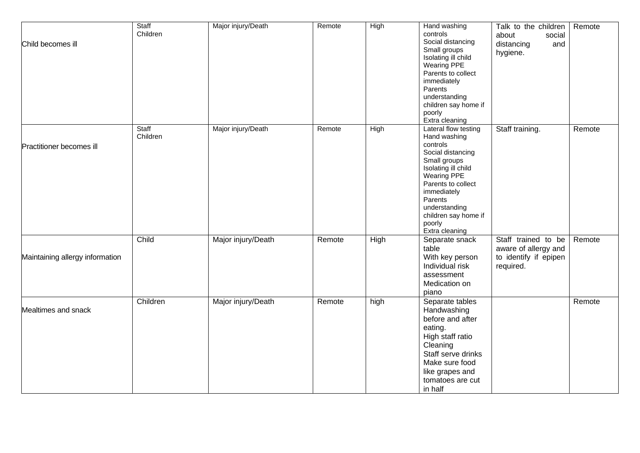| Child becomes ill               | Staff<br>Children | Major injury/Death | Remote | High | Hand washing<br>controls<br>Social distancing<br>Small groups<br>Isolating ill child<br><b>Wearing PPE</b><br>Parents to collect<br>immediately<br>Parents<br>understanding<br>children say home if<br>poorly<br>Extra cleaning                         | Talk to the children<br>about<br>social<br>distancing<br>and<br>hygiene.          | Remote |
|---------------------------------|-------------------|--------------------|--------|------|---------------------------------------------------------------------------------------------------------------------------------------------------------------------------------------------------------------------------------------------------------|-----------------------------------------------------------------------------------|--------|
| Practitioner becomes ill        | Staff<br>Children | Major injury/Death | Remote | High | Lateral flow testing<br>Hand washing<br>controls<br>Social distancing<br>Small groups<br>Isolating ill child<br><b>Wearing PPE</b><br>Parents to collect<br>immediately<br>Parents<br>understanding<br>children say home if<br>poorly<br>Extra cleaning | Staff training.                                                                   | Remote |
| Maintaining allergy information | Child             | Major injury/Death | Remote | High | Separate snack<br>table<br>With key person<br>Individual risk<br>assessment<br>Medication on<br>piano                                                                                                                                                   | Staff trained to be<br>aware of allergy and<br>to identify if epipen<br>required. | Remote |
| Mealtimes and snack             | Children          | Major injury/Death | Remote | high | Separate tables<br>Handwashing<br>before and after<br>eating.<br>High staff ratio<br>Cleaning<br>Staff serve drinks<br>Make sure food<br>like grapes and<br>tomatoes are cut<br>in half                                                                 |                                                                                   | Remote |